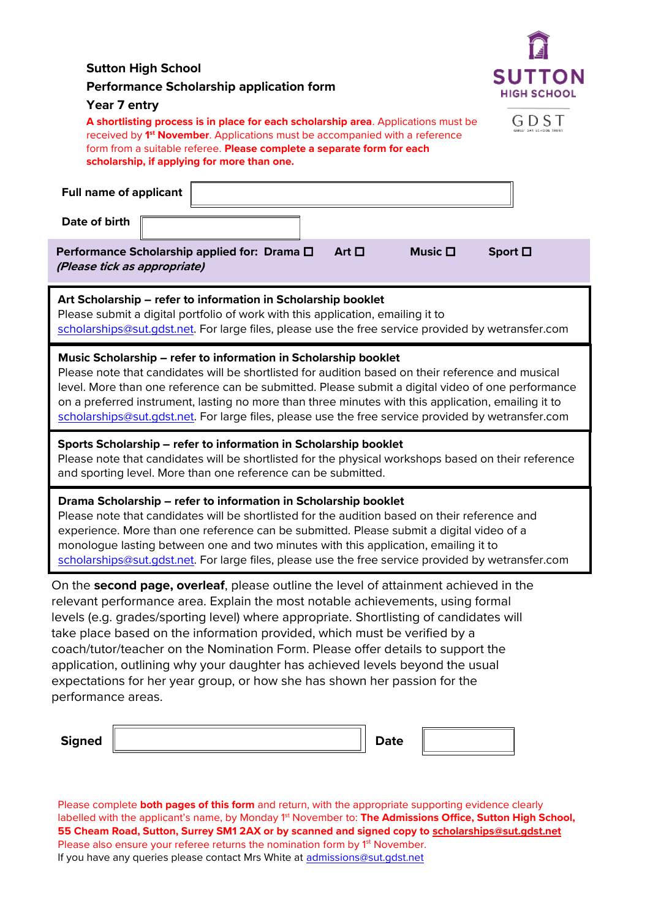| Year 7 entry<br>G D S T<br>A shortlisting process is in place for each scholarship area. Applications must be<br>received by 1 <sup>st</sup> November. Applications must be accompanied with a reference<br>form from a suitable referee. Please complete a separate form for each<br>scholarship, if applying for more than one.<br><b>Full name of applicant</b><br>Date of birth<br>Art $\Box$<br>Sport $\square$<br>Music $\square$<br>Performance Scholarship applied for: Drama $\square$<br>(Please tick as appropriate)<br>Art Scholarship - refer to information in Scholarship booklet<br>Please submit a digital portfolio of work with this application, emailing it to<br>scholarships@sut.gdst.net. For large files, please use the free service provided by wetransfer.com<br>Music Scholarship – refer to information in Scholarship booklet<br>Please note that candidates will be shortlisted for audition based on their reference and musical<br>level. More than one reference can be submitted. Please submit a digital video of one performance<br>on a preferred instrument, lasting no more than three minutes with this application, emailing it to<br>scholarships@sut.gdst.net. For large files, please use the free service provided by wetransfer.com<br>Sports Scholarship - refer to information in Scholarship booklet<br>Please note that candidates will be shortlisted for the physical workshops based on their reference<br>and sporting level. More than one reference can be submitted.<br>Drama Scholarship - refer to information in Scholarship booklet<br>Please note that candidates will be shortlisted for the audition based on their reference and<br>experience. More than one reference can be submitted. Please submit a digital video of a<br>monologue lasting between one and two minutes with this application, emailing it to<br>scholarships@sut.gdst.net. For large files, please use the free service provided by wetransfer.com | <b>Sutton High School</b><br><b>Performance Scholarship application form</b> |  | 131<br><b>SUTTON</b><br><b>HIGH SCHOOL</b> |  |  |  |  |  |
|----------------------------------------------------------------------------------------------------------------------------------------------------------------------------------------------------------------------------------------------------------------------------------------------------------------------------------------------------------------------------------------------------------------------------------------------------------------------------------------------------------------------------------------------------------------------------------------------------------------------------------------------------------------------------------------------------------------------------------------------------------------------------------------------------------------------------------------------------------------------------------------------------------------------------------------------------------------------------------------------------------------------------------------------------------------------------------------------------------------------------------------------------------------------------------------------------------------------------------------------------------------------------------------------------------------------------------------------------------------------------------------------------------------------------------------------------------------------------------------------------------------------------------------------------------------------------------------------------------------------------------------------------------------------------------------------------------------------------------------------------------------------------------------------------------------------------------------------------------------------------------------------------------------------------------------------------------------------------------------------|------------------------------------------------------------------------------|--|--------------------------------------------|--|--|--|--|--|
| On the second page, overleaf, please outline the level of attainment achieved in the<br>relevant performance area. Explain the most notable achievements, using formal<br>levels (e.g. grades/sporting level) where appropriate. Shortlisting of candidates will<br>take place based on the information provided, which must be verified by a<br>coach/tutor/teacher on the Nomination Form. Please offer details to support the<br>application, outlining why your daughter has achieved levels beyond the usual<br>expectations for her year group, or how she has shown her passion for the<br>performance areas.                                                                                                                                                                                                                                                                                                                                                                                                                                                                                                                                                                                                                                                                                                                                                                                                                                                                                                                                                                                                                                                                                                                                                                                                                                                                                                                                                                         |                                                                              |  |                                            |  |  |  |  |  |
|                                                                                                                                                                                                                                                                                                                                                                                                                                                                                                                                                                                                                                                                                                                                                                                                                                                                                                                                                                                                                                                                                                                                                                                                                                                                                                                                                                                                                                                                                                                                                                                                                                                                                                                                                                                                                                                                                                                                                                                              |                                                                              |  |                                            |  |  |  |  |  |
|                                                                                                                                                                                                                                                                                                                                                                                                                                                                                                                                                                                                                                                                                                                                                                                                                                                                                                                                                                                                                                                                                                                                                                                                                                                                                                                                                                                                                                                                                                                                                                                                                                                                                                                                                                                                                                                                                                                                                                                              |                                                                              |  |                                            |  |  |  |  |  |
|                                                                                                                                                                                                                                                                                                                                                                                                                                                                                                                                                                                                                                                                                                                                                                                                                                                                                                                                                                                                                                                                                                                                                                                                                                                                                                                                                                                                                                                                                                                                                                                                                                                                                                                                                                                                                                                                                                                                                                                              |                                                                              |  |                                            |  |  |  |  |  |
|                                                                                                                                                                                                                                                                                                                                                                                                                                                                                                                                                                                                                                                                                                                                                                                                                                                                                                                                                                                                                                                                                                                                                                                                                                                                                                                                                                                                                                                                                                                                                                                                                                                                                                                                                                                                                                                                                                                                                                                              |                                                                              |  |                                            |  |  |  |  |  |
|                                                                                                                                                                                                                                                                                                                                                                                                                                                                                                                                                                                                                                                                                                                                                                                                                                                                                                                                                                                                                                                                                                                                                                                                                                                                                                                                                                                                                                                                                                                                                                                                                                                                                                                                                                                                                                                                                                                                                                                              |                                                                              |  |                                            |  |  |  |  |  |
|                                                                                                                                                                                                                                                                                                                                                                                                                                                                                                                                                                                                                                                                                                                                                                                                                                                                                                                                                                                                                                                                                                                                                                                                                                                                                                                                                                                                                                                                                                                                                                                                                                                                                                                                                                                                                                                                                                                                                                                              |                                                                              |  |                                            |  |  |  |  |  |
|                                                                                                                                                                                                                                                                                                                                                                                                                                                                                                                                                                                                                                                                                                                                                                                                                                                                                                                                                                                                                                                                                                                                                                                                                                                                                                                                                                                                                                                                                                                                                                                                                                                                                                                                                                                                                                                                                                                                                                                              |                                                                              |  |                                            |  |  |  |  |  |
| <b>Signed</b><br><b>Date</b>                                                                                                                                                                                                                                                                                                                                                                                                                                                                                                                                                                                                                                                                                                                                                                                                                                                                                                                                                                                                                                                                                                                                                                                                                                                                                                                                                                                                                                                                                                                                                                                                                                                                                                                                                                                                                                                                                                                                                                 |                                                                              |  |                                            |  |  |  |  |  |

Please complete **both pages of this form** and return, with the appropriate supporting evidence clearly labelled with the applicant's name, by Monday 1<sup>st</sup> November to: **The Admissions Office, Sutton High School, 55 Cheam Road, Sutton, Surrey SM1 2AX or by scanned and signed copy to [scholarships@sut.gdst.net](mailto:scholarships@sut.gdst.net)** Please also ensure your referee returns the nomination form by 1<sup>st</sup> November. If you have any queries please contact Mrs White at **admissions@sut.gdst.net** 

JL.